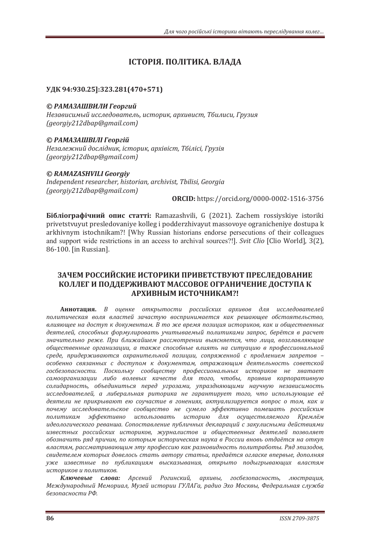# ІСТОРІЯ. ПОЛІТИКА. ВЛАЛА

## **УДК 94:930.25]:323.281(470+571)**

### © РАМАЗАШВИЛИ Георгий

Независимый исследователь, историк, архивист, Тбилиси, Грузия *(georgiy212dbap@gmail.com)*

## © РАМАЗАШВІЛІ Георгій

Незалежний дослідник, *історик, архівіст, Тбілісі, Грузія (georgiy212dbap@gmail.com)*

## *© RAMAZASHVILI Georgiy*

Independent researcher, historian, archivist, Tbilisi, Georgia *(georgiy212dbap@gmail.com)*

**ORCID:** https://orcid.org/0000-0002-1516-3756

**Бібліографічний опис статті:** Ramazashvili, G (2021). Zachem rossiyskiye istoriki privetstvuyut presledovaniye kolleg i podderzhivayut massovoye ogranicheniye dostupa k arkhivnym istochnikam?! [Why Russian historians endorse persecutions of their colleagues and support wide restrictions in an access to archival sources?!]. *Svit Clio* [Clio World], 3(2), 86-100. [in Russian].

## ЗАЧЕМ РОССИЙСКИЕ ИСТОРИКИ ПРИВЕТСТВУЮТ ПРЕСЛЕДОВАНИЕ КОЛЛЕГ И ПОДДЕРЖИВАЮТ МАССОВОЕ ОГРАНИЧЕНИЕ ДОСТУПА К **ʏʟʤʗʑʜʪʛʗʠʡʝʦʜʗʙʏʛǫ!**

**Аннотация.** В оценке открытости российских архивов для исследователей политическая воля властей зачастую воспринимается как решающее обстоятельство, влияющее на доступ к документам. В то же время позиция историков, как и общественных деятелей, способных формулировать учитываемый политиками запрос, берётся в расчет значительно реже. При ближайшем рассмотрении выясняется, что лица, возглавляющие **обшественные организации, а также способные влиять на ситуацию в профессиональной** среде, придерживаются охранительной позиции, сопряженной с продлением запретов особенно связанных с доступом к документам, отражающим деятельность советской госбезопасности. Поскольку сообществу профессиональных историков не хватает самоорганизации либо волевых качеств для того, чтобы, проявив корпоративную солидарность, объединиться перед угрозами, упраздняющими научную независимость *исследователей, а либеральная риторика не гарантирует того, что использующие её* деятели не прикрывают ею соучастие в гонениях, актуализируется вопрос о том, как и почему исследовательское сообщество не сумело эффективно помешать российским политикам эффективно использовать историю для осуществляемого Кремлём *идеологического реванша. Сопоставление публичных деклараций с закулисными действиями ˋˊ˅ˈ˔˕ː˞˘ ˓ˑ˔˔ˋˌ˔ˍˋ˘ ˋ˔˕ˑ˓ˋˍˑ˅ǡ ˉ˖˓ː˃ˎˋ˔˕ˑ˅ ˋ ˑ˄˜ˈ˔˕˅ˈːː˞˘ ˇˈˢ˕ˈˎˈˌ ˒ˑˊ˅ˑˎˢˈ˕* **обозначить ряд причин, по которым историческая наука в России вновь отдаётся на откуп** *˅ˎ˃˔˕ˢˏǡ˓˃˔˔ˏ˃˕˓ˋ˅˃ˡ˜ˋˏˠ˕˖˒˓ˑ˗ˈ˔˔ˋˡˍ˃ˍ˓˃ˊːˑ˅ˋˇːˑ˔˕˟˒ˑˎˋ˕˓˃˄ˑ˕˞Ǥʟˢˇˠ˒ˋˊˑˇˑ˅ǡ* свидетелем которых довелось стать автору статьи, предаётся огласке впервые, дополняя уже известные по публикациям высказывания, открыто подыгрывающих властям *ˋ˔˕ˑ˓ˋˍˑ˅ˋ˒ˑˎˋ˕ˋˍˑ˅Ǥ*

Ключевые слова: Арсений Рогинский, архивы, госбезопасность, люстрация, Международный Мемориал, Музей истории ГУЛАГа, радио Эхо Москвы, Федеральная служба безопасности РФ.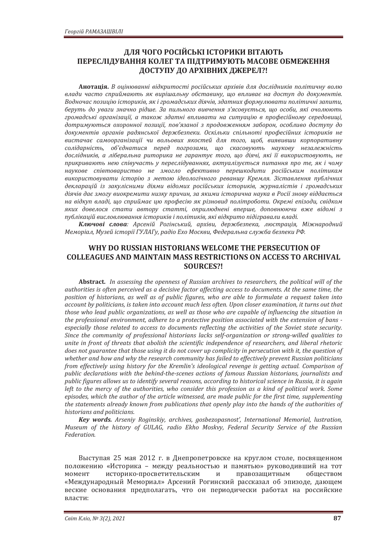## **ДЛЯ ЧОГО РОСІЙСЬКІ ІСТОРИКИ ВІТАЮТЬ** ПЕРЕСЛІДУВАННЯ КОЛЕГ ТА ПІДТРИМУЮТЬ МАСОВЕ ОБМЕЖЕННЯ ЛОСТУПУ ДО АРХІВНИХ ДЖЕРЕЛ?!

Анотація. В оцінюванні відкритості російських архівів для дослідників політичну волю влади часто сприймають як вирішальну обставину, що впливає на доступ до документів. Водночас позицію істориків, як і громадських діячів, здатних формулювати політичні запити, беруть до уваги значно рідше. За пильного вивчення з'ясовується, що особи, які очолюють громадські організації, а також здатні впливати на ситуацію в професійному середовищі, дотримуються охоронної позиції, пов'язаної з продовженням заборон, особливо доступу до документів органів радянської держбезпеки. Оскільки спільноті професійних істориків не вистачає самоорганізації чи вольових якостей для того, щоб, виявивши корпоративну солідарність, об'єднатися перед погрозами, що скасовують наукову незалежність дослідників, а ліберальна риторика не гарантує того, що діячі, які її використовують, не прикривають нею співучасть у переслідуваннях, актуалізується питання про те, як і чому наукове співтовариство не змогло ефективно перешкодити російським політикам використовувати *історію з метою ідеологічного реваншу Кремля*. Зіставлення публічних декларацій із закулісними діями відомих російських істориків, журналістів і громадських діячів дає змогу виокремити низку причин, за якими історична наука в Росії знову віддається на відкуп владі, що сприймає цю професію як різновид політроботи. Окремі епізоди, свідком яких довелося стати автору статті, оприлюднені вперше, доповнюючи вже відомі з публікацій висловлювання істориків і політиків, які відкрито підігравали владі.

Ключові слова: Арсеній Рогінський, архіви, держбезпека, люстрація, Міжнародний Меморіал, Музей історії ГУЛАГу, радіо Ехо Москви, Федеральна служба безпеки РФ.

## **WHY DO RUSSIAN HISTORIANS WELCOME THE PERSECUTION OF COLLEAGUES AND MAINTAIN MASS RESTRICTIONS ON ACCESS TO ARCHIVAL SOURCES?!**

Abstract. In assessing the openness of Russian archives to researchers, the political will of the authorities is often perceived as a decisive factor affecting access to documents. At the same time, the position of historians, as well as of public figures, who are able to formulate a request taken into *account by politicians, is taken into account much less often. Upon closer examination, it turns out that those who lead public organizations, as well as those who are capable of influencing the situation in* the professional environment, adhere to a protective position associated with the extension of bans especially those related to access to documents reflecting the activities of the Soviet state security. *Since the community of professional historians lacks self-organization or strong-willed qualities to* unite in front of threats that abolish the scientific independence of researchers, and liberal rhetoric *does not guarantee that those using it do not cover up complicity in persecution with it, the question of* whether and how and why the research community has failed to effectively prevent Russian politicians *from effectively using history for the Kremlin's ideological revenge is getting actual. Comparison of* public declarations with the behind-the-scenes actions of famous Russian historians, journalists and *public figures allows us to identify several reasons, according to historical science in Russia, it is again* left to the mercy of the authorities, who consider this profession as a kind of political work. Some episodes, which the author of the article witnessed, are made public for the first time, supplementing the statements already known from publications that openly play into the hands of the authorities of historians and politicians.

*Key words. Arseniy Roginskiy, archives, gosbezopasnost', International Memorial, lustration, Museum of the history of GULAG, radio Ekho Moskvy, Federal Security Service of the Russian Federation.* 

Выступая 25 мая 2012 г. в Днепропетровске на круглом столе, посвященном положению «Историка - между реальностью и памятью» руководивший на тот момент историко-просветительским и правозащитным обществом «Международный Мемориал» Арсений Рогинский рассказал об эпизоде, дающем веские основания предполагать, что он периодически работал на российские власти: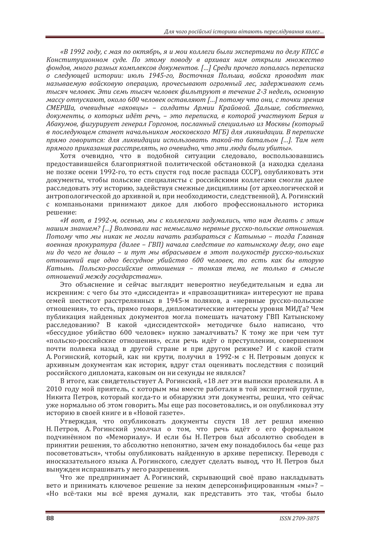«В 1992 году, с мая по октябрь, я и мои коллеги были экспертами по делу КПСС в Конституционном суде. По этому поводу в архивах нам открыли множество  $\phi$ фондов, много разных комплексов документов. [...] Среди прочего попалась переписка *о следующей истории: июль 1945-го, Восточная Польша, войска проводят так* называемую войсковую операцию, прочесывают огромный лес, задерживают семь тысяч человек. Эти семь тысяч человек фильтруют в течение 2-3 недель, основную *массу* отпускают, около 600 человек оставляют [...] потому что они, с точки зрения СМЕРШа, очевидные «аковиы» - солдаты Армии Крайовой. Дальше, собственно, документы, о которых идёт речь, - это переписка, в которой участвуют Берия и Абакумов, фигурирует генерал Горгонов, посланный специально из Москвы (который *˅˒ˑ˔ˎˈˇ˖ˡ˜ˈˏ˔˕˃ːˈ˕ː˃˚˃ˎ˟ːˋˍˑˏˏˑ˔ˍˑ˅˔ˍˑˆˑʛʒʐȌˇˎˢˎˋˍ˅ˋˇ˃˙ˋˋǤʑ˒ˈ˓ˈ˒ˋ˔ˍˈ* прямо говорится: для ликвидации использовать такой-то батальон [...]. Там нет прямого приказания расстрелять, но очевидно, что эти люди были убиты».

Хотя очевидно, что в подобной ситуации следовало, воспользовавшись предоставившейся благоприятной политической обстановкой (а находка сделана не позже осени 1992-го, то есть спустя год после распада СССР), опубликовать эти документы, чтобы польские специалисты с российскими коллегами смогли далее расследовать эту историю, задействуя смежные дисциплины (от археологической и антропологической до архивной и, при необходимости, следственной), А. Рогинский с компаньонами принимают дикое для любого профессионального историка решение:

«И вот, в 1992-м, осенью, мы с коллегами задумались, что нам делать с этим **иашим знанием?** [...] Волновали нас немыслимо нервные русско-польские отношения. *ʞˑ˕ˑˏ˖ ˚˕ˑ ˏ˞ ːˋˍ˃ˍ ːˈ ˏˑˆˎˋ ː˃˚˃˕˟ ˓˃ˊ˄ˋ˓˃˕˟˔ˢ ˔ ʙ˃˕˞ː˟ˡ – ˕ˑˆˇ˃ ʒˎ˃˅ː˃ˢ* военная прокуратура (далее - ГВП) начала следствие по катынскому делу, оно еще **ии до чего не дошло – и тут мы вбрасываем в этот полукостёр русско-польских** отношений еще одно бессудное убийство 600 человек, то есть как бы вторую *ʙ˃˕˞ː˟Ǥ ʞˑˎ˟˔ˍˑ-˓ˑ˔˔ˋˌ˔ˍˋˈ ˑ˕ːˑ˛ˈːˋˢ – ˕ˑːˍ˃ˢ ˕ˈˏ˃ǡ ːˈ ˕ˑˎ˟ˍˑ ˅ ˔ˏ˞˔ˎˈ* отношений между государствами».

Это объяснение и сейчас выглядит невероятно неубедительным и едва ли искренним: с чего бы это «диссидента» и «правозащитника» интересуют не права семей шестисот расстрелянных в 1945-м поляков, а «нервные русско-польские отношения», то есть, прямо говоря, дипломатические интересы уровня МИД'а? Чем публикация найденных документов могла помешать начатому ГВП Катынскому расследованию? В какой «диссидентской» методичке было написано, что «бессудное убийство 600 человек» нужно замалчивать? К тому же при чем тут «польско-российские отношения», если речь идёт о преступлении, совершенном почти полвека назад в другой стране и при другом режиме? И с какой стати А. Рогинский, который, как ни крути, получил в 1992-м с Н. Петровым допуск к архивным документам как историк, вдруг стал оценивать последствия с позиций российского дипломата, каковым он ни секунды не являлся?

В итоге, как свидетельствует А. Рогинский, «18 лет эти выписки пролежали. А в 2010 году мой приятель, с которым мы вместе работали в той экспертной группе, Никита Петров, который когда-то и обнаружил эти документы, решил, что сейчас уже нормально об этом говорить. Мы еще раз посоветовались, и он опубликовал эту историю в своей книге и в «Новой газете».

Утверждая, что опубликовать документы спустя 18 лет решил именно Н. Петров, А. Рогинский умолчал о том, что речь идёт о его формальном подчинённом по «Мемориалу». И если бы Н. Петров был абсолютно свободен в принятии решения, то абсолютно непонятно, зачем ему понадобилось бы «еще раз посоветоваться», чтобы опубликовать найденную в архиве переписку. Переводя с иносказательного языка А. Рогинского, следует сделать вывод, что Н. Петров был вынужден испрашивать у него разрешения.

Что же предпринимает А. Рогинский, скрывающий своё право накладывать вето и принимать ключевое решение за неким деперсонифицированным «мы»? -«Но всё-таки мы всё время думали, как представить это так, чтобы было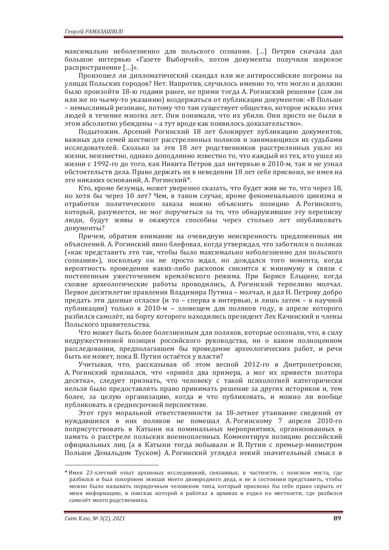максимально неболезненно для польского сознания. [...] Петров сначала дал большое интервью «Газете Выборчей», потом документы получили широкое распространение [...]».

Произошел ли дипломатический скандал или же антироссийские погромы на улицах Польских городов? Нет. Напротив, случилось именно то, что могло и должно было произойти 18-ю годами ранее, не прими тогда А. Рогинский решение (сам ли или же по чьему-то указанию) воздержаться от публикации документов: «В Польше – немыслимый резонанс, потому что там существует общество, которое искало этих людей в течение многих лет. Они понимали, что их убили. Они просто не были в этом абсолютно убеждены - а тут вроде как появилось доказательство».

Подытожим. Арсений Рогинский 18 лет блокирует публикацию документов, важных для семей шестисот расстрелянных поляков и занимающихся их судьбами исследователей. Сколько за эти 18 лет родственников расстрелянных ушло из жизни, неизвестно, однако доподлинно известно то, что каждый из тех, кто ушел из жизни с 1992-го до того, как Никита Петров дал интервью в 2010-м, так и не узнал обстоятельств дела. Право держать их в неведении 18 лет себе присвоил, не имея на это никаких оснований, А. Рогинский\*.

Кто, кроме безумца, может уверенно сказать, что будет жив не то, что через 18, но хотя бы через 10 лет? Чем, в таком случае, кроме феноменального цинизма и отработки политического заказа можно объяснить позицию А. Рогинского, который, разумеется, не мог поручиться за то, что обнаружившие эту переписку люди, будут живы и окажутся способны через столько лет опубликовать документы?

Причем, обратим внимание на очевидную неискренность предложенных им объяснений. А. Рогинский явно блефовал, когда утверждал, что заботился о поляках («как представить это так, чтобы было максимально неболезненно для польского сознания»), поскольку он не просто ждал, но дождался того момента, когда вероятность проведения каких-либо раскопок снизится к минимуму в связи с постепенным ужесточением кремлёвского режима. При Борисе Ельцине, когда схожие археологические работы проводились, А. Рогинский терпеливо молчал. Первое десятилетие правления Владимира Путина – молчал, и дал Н. Петрову добро предать эти данные огласке (и то - сперва в интервью, и лишь затем - в научной публикации) только в 2010-м - зловещем для поляков году, в апреле которого разбился самолёт, на борту которого находились президент Лех Качинский и члены Польского правительства.

Что может быть более болезненным для поляков, которые осознали, что, в силу недружественной позиции российского руководства, ни о каком полноценном расследовании, предполагавшем бы проведение археологических работ, и речи быть не может, пока В. Путин остаётся у власти?

Учитывая, что, рассказывая об этом весной 2012-го в Днетропетровске. А. Рогинский признался, что «привёл два примера, а мог их привести полтора десятка», следует признать, что человеку с такой психологией категорически нельзя было предоставлять право принимать решение за других историков и, тем более, за целую организацию, когда и что публиковать, и можно ли вообще публиковать в среднесрочной перспективе.

Этот груз моральной ответственности за 18-летнее утаивание сведений от нуждавшихся в них поляков не помешал А. Рогинскому 7 апреля 2010-го поприсутствовать в Катыни на поминальных мероприятиях, организованных в память о расстреле польских военнопленных. Комментируя позицию российский официальных лиц (а в Катыни тогда побывали и В. Путин с премьер-министром Польши Дональдом Туском) А. Рогинский углядел некий значительный смысл в

<sup>\*</sup> Имея 23-хлетний опыт архивных исследований, связанных, в частности, с поиском места, где разбился и был похоронен экипаж моего двоюродного деда, я не в состоянии представить, чтобы можно было называть порядочным человеком типа, который присвоил бы себе право скрыть от меня информацию, в поисках которой я работал в архивах и ездил по местности, где разбился самолёт моего родственника.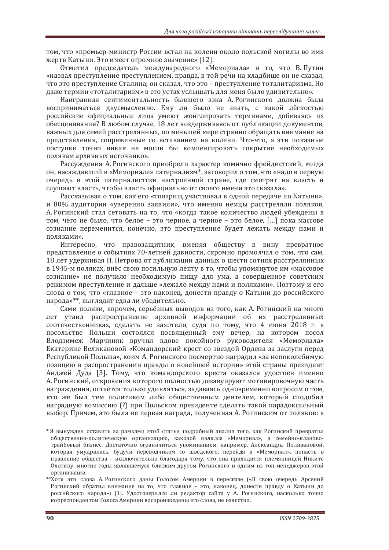том, что «премьер-министр России встал на колени около польской могилы во имя жертв Катыни. Это имеет огромное значение» [12].

Отметил председатель международного «Мемориала» и то, что В. Путин «назвал преступление преступлением, правла, в той речи на кладбище он не сказал, что это преступление Сталина; он сказал, что это - преступление тоталитаризма. Но даже термин «тоталитаризм» в его устах услышать для меня было удивительно».

Наигранная сентиментальность бывшего зэка А. Рогинского должна была восприниматься двусмысленно. Ему ли было не знать, с какой лёгкостью российские официальные лица умеют жонглировать терминами, добиваясь их обесценивания? В любом случае, 18 лет воздерживаясь от публикации документов, важных для семей расстрелянных, по меньшей мере странно обращать внимание на представления, сопряженные со вставанием на колени. Что-что, а эти показные поступки точно никак не могли бы компенсировать сокрытие необходимых полякам архивных источников.

Рассуждения А. Рогинского приобрели характер комично фрейдистский, когда он, насаждавший в «Мемориале» патернализм<sup>\*</sup>, заговорил о том, что «надо в первую очередь в этой патерналистски настроенной стране, где смотрят на власть и слушают власть, чтобы власть официально от своего имени это сказала».

Рассказывая о том, как его «товарищ участвовал в одной передаче по Катыни», и 80% аудитории «уверенно заявили», что именно немцы расстреляли поляков, А. Рогинский стал сетовать на то, что «когда такое количество людей убеждены в том, чего не было, что белое - это черное, а черное - это белое, [...] пока массове сознание переменится, конечно, это преступление будет лежать между нами и поляками».

Интересно, что правозащитник, вменяя обществу в вину превратное представление о событиях 70-летней давности, скромно промолчал о том, что сам, 18 лет удерживая Н. Петрова от публикации данных о шести сотнях расстрелянных в 1945-м поляках, внёс свою посильную лепту в то, чтобы упомянутое им «массовое сознание» не получило необходимую пищу для ума, а совершенное советским режимом преступление и дальше «лежало между нами и поляками». Поэтому и его слова о том, что «главное - это наконец, донести правду о Катыни до российского народа»\*\*, выглядят едва ли убедительно.

Сами поляки, впрочем, серьёзных выводов из того, как А. Рогинский на много лет утаил распространение архивной информации об их расстрелянных соотечественниках, сделать не захотели, судя по тому, что 4 июня 2018 г. в посольстве Польши состоялся посвященный ему вечер, на котором посол Влодзимеж Марчиняк вручил вдове покойного руководителя «Мемориала» Екатерине Великановой «Командорский крест со звездой Ордена за заслуги перед Республикой Польша», коим А. Рогинского посмертно наградил «за непоколебимую позицию в распространении правды о новейшей истории» этой страны президент Анджей Дуда [3]. Тому, что командорского креста оказался удостоен именно А. Рогинский, откровения которого полностью дезавуируют мотивировочную часть награждения, остаётся только удивляться, задаваясь одновременно вопросом о том. кто же был тем политиком либо обшественным деятелем, который сподобил награлную комиссию (?) при Польском презиленте слелать такой паралоксальный выбор. Причем, это была не первая награда, полученная А. Рогинским от поляков: в

<sup>\*</sup> Я вынужден оставить за рамками этой статьи подробный анализ того, как Рогинский превратил общественно-политическую организацию, каковой являлся «Мемориал», в семейно-клановотрайбовый бизнес. Достаточно ограничиться упоминанием, например, Александры Поливановой, которая умудрилась, будучи переводчиком со шведского, перейдя в «Мемориал», попасть в правление общества - исключительно благодаря тому, что она приходится племянницей Никите Охотину, многие годы являвшемуся близким другом Рогинского и одним из топ-менеджеров этой организации.

<sup>\*\*</sup>Хотя эти слова А. Рогинского даны Голосом Америки в пересказе («В свою очередь Арсений Рогинский обратил внимание на то, что главное - это, наконец, донести правду о Катыни до российского народа») [1]. Удостоверился ли редактор сайта у А. Рогинского, насколько точно корреспондентом Голоса Америки воспроизведены его слова, не известно.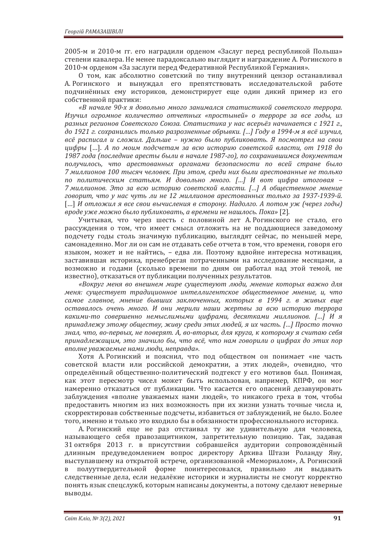2005-м и 2010-м гг. его наградили орденом «Заслуг перед республикой Польша» степени кавалера. Не менее парадоксально выглядит и награждение А. Рогинского в 2010-м орденом «За заслуги перед Федеративной Республикой Германия».

О том, как абсолютно советский по типу внутренний цензор останавливал А. Рогинского и вынуждал его препятствовать исследовательской работе подчинённых ему историков, демонстрирует еще один дикий пример из его собственной практики:

«В начале 90-х я довольно много занимался статистикой советского террора. Изучил огромное количество отчетных «простыней» о терроре за все годы, из разных регионов Советского Союза. Статистика у нас всерьёз начинается с 1921 г., до 1921 г. сохранились только разрозненные обрывки. [...] Году в 1994-м я всё изучил, всё расписал и сложил. Дальше - нужно было публиковать. Я посмотрел на свои *˙ˋ˗˓˞* ȏǥȐ. *ʏ ˒ˑ ˏˑˋˏ ˒ˑˇ˔˚ˈ˕˃ˏ ˊ˃ ˅˔ˡ ˋ˔˕ˑ˓ˋˡ ˔ˑ˅ˈ˕˔ˍˑˌ ˅ˎ˃˔˕ˋǡ ˑ˕ ͷͿͷ; ˇˑ*  $1987z$ ода (последние аресты были в начале 1987-го), по сохранившимся документам получилось, что арестованных органами безопасности по всей стране было 7 миллионов 100 тысяч человек. При этом, среди них были арестованные не только по политическим статьям. И довольно много. [...] И вот цифра итоговая -7 миллионов. Это за всю историю советской власти. [...] А общественное мнение *ˆˑ˅ˑ˓ˋ˕ǡ ˚˕ˑ ˖ ː˃˔ ˚˖˕˟ ˎˋ ːˈ ͷ ˏˋˎˎˋˑːˑ˅ ˃˓ˈ˔˕ˑ˅˃ːː˞˘˕ˑˎ˟ˍˑ ˊ˃ ͷͿͽ-1939-ˌǤ* [...] И отложил я все свои вычисления в сторону. Надолго, А потом уж (через годы) *˅˓ˑˇˈ˖ˉˈˏˑˉːˑ˄˞ˎˑ˒˖˄ˎˋˍˑ˅˃˕˟ǡ˃˅˓ˈˏˈːˋːˈː˃˛ˎˑ˔˟Ǥʞˑˍ˃ǽ* [2]*.*

Учитывая, что через шесть с половиной лет А. Рогинского не стало, его рассуждения о том, что имеет смысл отложить на не поддающиеся заведомому подсчету годы столь значимую публикацию, выглядят сейчас, по меньшей мере, самонадеянно. Мог ли он сам не отдавать себе отчета в том, что времени, говоря его языком, может и не найтись, - едва ли. Поэтому вдвойне интересна мотивация, заставившая историка, пренебрегая потраченными на исследование месяцами, а возможно и годами (сколько времени по дням он работал над этой темой, не известно), отказаться от публикации полученных результатов.

«Вокруг меня во внешнем мире существуют люди, мнение которых важно для меня: существует традиционное интеллигентское общественное мнение, и, что самое главное, мнение бывших заключенных, которых в 1994 г. в живых еще оставалось очень много. И они мерили наши жертвы за всю историю террора какими-то совершенно немыслимыми цифрами, десятками миллионов. [...] И я принадлежу этому обществу, живу среди этих людей, я их часть. [...] Просто точно  $3HaA$ , что, во-первых, не поверят. А, во-вторых, для круга, к которому я считаю себя принадлежащим, это значило бы, что всё, что нам говорили о цифрах до этих пор вполне уважаемые нами люди, неправда».

Хотя А. Рогинский и пояснил, что под обществом он понимает «не часть советской власти или российской демократии, а этих людей», очевидно, что определённый общественно-политический подтекст у его мотивов был. Понимая, как этот пересмотр чисел может быть использован, например, КПРФ, он мог намеренно отказаться от публикации. Что касается его опасений дезавуировать заблуждения «вполне уважаемых нами людей», то никакого греха в том, чтобы предоставить многим из них возможность при их жизни узнать точные числа и. скорректировав собственные подсчеты, избавиться от заблуждений, не было. Более того, именно и только это входило бы в обязанности профессионального историка.

А. Рогинский еще не раз отстаивал ту же удивительную для человека, называющего себя правозащитником, запретительную позицию. Так, задавая 31 октября 2013 г. в присутствии собравшейся аудитории сопровождённый длинным предуведомлением вопрос директору Архива Штази Роланду Яну, выступавшему на открытой встрече, организованной «Мемориалом», А. Рогинский в полуутвердительной форме поинтересовался, правильно ли выдавать следственные дела, если недалёкие историки и журналисты не смогут корректно понять язык спецслужб, которым написаны документы, а потому сделают неверные выводы.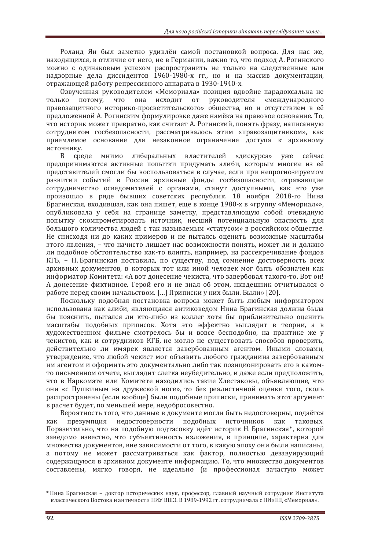Роланд Ян был заметно удивлён самой постановкой вопроса. Для нас же, находящихся, в отличие от него, не в Германии, важно то, что подход А. Рогинского можно с одинаковым успехом распространить не только на следственные или налзорные дела диссидентов 1960-1980-х гг. но и на массив документации. отражающей работу репрессивного аппарата в 1930-1940-х.

Озвученная руководителем «Мемориала» позиция вдвойне парадоксальна не только потому, что она исходит от руководителя «международного правозащитного историко-просветительского» общества, но и отсутствием в её предложенной А. Рогинским формулировке даже намёка на правовое основание. То, что историк может превратно, как считает А. Рогинский, понять фразу, написанную сотрудником госбезопасности, рассматривалось этим «правозащитником», как приемлемое основание для незаконное ограничение доступа к архивному источнику.

В среде мнимо либеральных властителей «дискурса» уже сейчас предпринимаются активные попытки придумать алиби, которым многие из её представителей смогли бы воспользоваться в случае, если при непрогнозируемом развитии событий в России архивные фонды госбезопасности, отражающие сотрудничество осведомителей с органами, станут доступными, как это уже произошло в ряде бывших советских республик. 18 ноября 2018-го Нина Брагинская, входившая, как она пишет, еще в конце 1980-х в «группу «Мемориал»», опубликовала у себя на странице заметку, представляющую собой очевидную попытку скомпрометировать источник, несший потенциальную опасность для большого количества людей с так называемым «статусом» в российском обществе. Не снисходя ни до каких примеров и не пытаясь оценить возможные масштабы этого явления, - что начисто лишает нас возможности понять, может ли и должно ли подобное обстоятельство как-то влиять, например, на рассекречивание фондов КГБ, - Н. Брагинская поставила, по существу, под сомнение достоверность всех архивных документов, в которых тот или иной человек мог быть обозначен как информатор Комитета: «А вот донесение чекиста, что завербовал такого-то. Вот он! А донесение фиктивное. Герой его и не знал об этом, нквдешник отчитывался о работе перед своим начальством. [...] Приписки у них были. Были» [20].

Поскольку подобная постановка вопроса может быть любым информатором использована как алиби, являющаяся антиковедом Нина Брагинская должна была бы пояснить, пытался ли кто-либо из коллег хотя бы приблизительно оценить масштабы подобных приписок. Хотя это эффектно выглядит в теории, а в художественном фильме смотрелось бы и вовсе бесподобно, на практике же у чекистов, как и сотрудников КГБ, не могло не существовать способов проверить, действительно ли имярек является завербованным агентом. Иными словами, утверждение, что любой чекист мог объявить любого гражданина завербованным им агентом и оформить это документально либо так позиционировать его в какомто письменном отчете, выглядит слегка неубедительно, и даже если предположить, что в Наркомате или Комитете находились такие Хлестаковы, объявляющие, что они «с Пушкиным на дружеской ноге», то без реалистичной оценки того, сколь распространены (если вообще) были подобные приписки, принимать этот аргумент в расчет булет, по меньшей мере, нелобросовестно.

Вероятность того, что данные в документе могли быть недостоверны, подаётся как презумпция недостоверности подобных источников как таковых. Поразительно, что на подобную подтасовку идёт историк Н. Брагинская\*, которой заведомо известно, что субъективность изложения, в принципе, характерна для множества документов, вне зависимости от того, в какую эпоху они были написаны, а потому не может рассматриваться как фактор, полностью дезавуирующий содержащуюся в архивном документе информацию. То, что множество документов составлены, мягко говоря, не идеально (и профессионал зачастую может

<sup>\*</sup> Нина Брагинская – доктор исторических наук, профессор, главный научный сотрудник Института классического Востока и античности НИУ ВШЭ. В 1989-1992 гг. сотрудничала с НИиПЦ «Мемориал».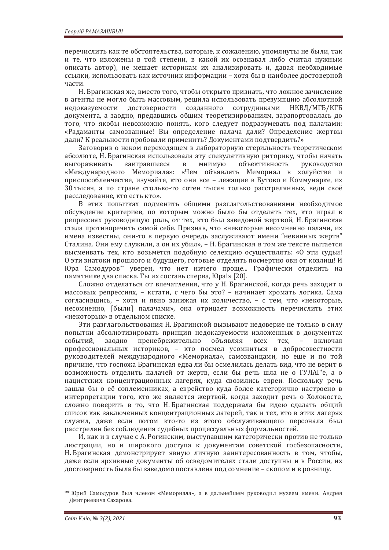перечислить как те обстоятельства, которые, к сожалению, упомянуты не были, так и те, что изложены в той степени, в какой их осознавал либо считал нужным описать автор), не мешает историкам их анализировать и, давая необходимые ссылки, использовать как источник информации - хотя бы в наиболее достоверной части.

Н. Брагинская же, вместо того, чтобы открыто признать, что ложное зачисление в агенты не могло быть массовым, решила использовать презумпцию абсолютной недоказуемости достоверности созданного сотрудниками НКВД/МГБ/КГБ документа, а заодно, предавшись общим теоретизированиям, зарапортовалась до того, что якобы невозможно понять, кого следует подразумевать под палачами: «Радаманты самозванные! Вы определение палача дали? Определение жертвы дали? К реальности пробовали применить? Документами подтвердить?»

Заговорив о неком переходящем в лабораторную стерильность теоретическом абсолюте, Н. Брагинская использовала эту спекулятивную риторику, чтобы начать выгораживать заигравшееся в мнимую объективность руководство «Международного Мемориала»: «Чем объявлять Мемориал в холуйстве и приспособленчестве, изучайте, кто они все - лежащие в Бутово и Коммунарке, их 30 тысяч, а по стране столько-то сотен тысяч только расстрелянных, веди своё расследование, кто есть кто».

В этих попытках подменить общими разглагольствованиями необходимое обсуждение критериев, по которым можно было бы отделять тех, кто играл в репрессиях руководящую роль, от тех, кто был заведомой жертвой, Н. Брагинская стала противоречить самой себе. Признав, что «некоторые несомненно палачи, их имена известны, они-то в первую очередь заслуживают имени "невинных жертв" Сталина. Они ему служили, а он их убил», - Н. Брагинская в том же тексте пытается высмеивать тех, кто возьмётся подобную селекцию осуществлять: «О эти судьи! О эти знатоки прошлого и будущего, готовые отделять посмертно овн от козлищ! И Юра Самодуров\*\* уверен, что нет ничего проще... Графически отделить на памятнике два списка. Ты их составь сперва, Юра!» [20].

Сложно отделаться от впечатления, что у Н. Брагинской, когда речь заходит о массовых репрессиях, - кстати, с чего бы это? - начинает хромать логика. Сама согласившись, - хотя и явно занижая их количество, - с тем, что «некоторые, несомненно, [были] палачами», она отрицает возможность перечислить этих «некоторых» в отдельном списке.

Эти разглагольствования Н. Брагинской вызывают недоверие не только в силу попытки абсолютизировать принцип недоказуемости изложенных в документах событий, заодно пренебрежительно объявляя всех тех, - включая профессиональных историков, - кто посмел усомниться в добросовестности руководителей международного «Мемориала», самозванцами, но еще и по той причине, что госпожа Брагинская едва ли бы осмелилась делать вид, что не верит в возможность отделить палачей от жертв, если бы речь шла не о ГУЛАГ'е, а о нацистских концентрационных лагерях, куда свозились евреи. Поскольку речь зашла бы о её соплеменниках, а еврейство куда более категорично настроено в интерпретации того, кто же является жертвой, когда заходит речь о Холокосте, сложно поверить в то, что Н. Брагинская поддержала бы идею сделать общий список как заключенных концентрационных лагерей, так и тех, кто в этих лагерях служил, даже если потом кто-то из этого обслуживающего персонала был расстрелян без соблюдения судебных процессуальных формальностей.

И, как и в случае с А. Рогинским, выступавшим категорически против не только люстрации, но и широкого доступа к документам советской госбезопасности, Н. Брагинская демонстрирует явную личную заинтересованность в том, чтобы, даже если архивные документы об осведомителях стали доступны и в России, их достоверность была бы заведомо поставлена под сомнение – скопом и в розницу.

<sup>\*\*</sup> Юрий Самодуров был членом «Мемориала», а в дальнейшем руководил музеем имени. Андрея Дмитриевича Сахарова.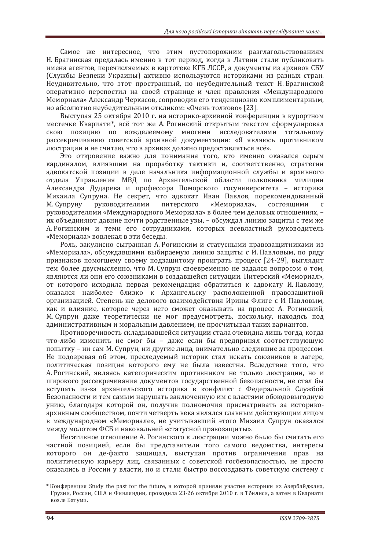Самое же интересное, что этим пустопорожним разглагольствованиям Н. Брагинская предалась именно в тот период, когда в Латвии стали публиковать имена агентов, перечисляемых в картотеке КГБ ЛССР, а документы из архивов СБУ (Службы Безпеки Украины) активно используются историками из разных стран. Неудивительно, что этот пространный, но неубедительный текст Н. Брагинской оперативно перепостил на своей странице и член правления «Международного Мемориала» Александр Черкасов, сопроводив его тенденциозно комплиментарным, но абсолютно неубедительным откликом: «Очень толково» [23].

Выступая 25 октября 2010 г. на историко-архивной конференции в курортном местечке Квариати\*, всё тот же А. Рогинский открытым текстом сформулировал свою позицию по вожделеемому многими исследователями тотальному рассекречиванию советской архивной документации: «Я являюсь противником люстрации и не считаю, что в архивах должно предоставляться всё».

Это откровение важно для понимания того, кто именно оказался серым кардиналом, влиявшим на проработку тактики и, соответственно, стратегии адвокатской позиции в деле начальника информационной службы и архивного отдела Управления МВД по Архангельской области полковника милиции Александра Дударева и профессора Поморского госуниверситета – историка Михаила Супруна. Не секрет, что адвокат Иван Павлов, порекомендованный М. Супруну руководителями питерского «Мемориала», состоящими с руководителями «Международного Мемориала» в более чем деловых отношениях. их объединяют давние почти родственные узы, - обсуждал линию защиты с тем же А. Рогинским и теми его сотрудниками, которых всевластный руководитель «Мемориала» вовлекал в эти беседы.

Роль, закулисно сыгранная А. Рогинским и статусными правозащитниками из «Мемориала», обсуждавшими выбираемую линию защиты с И. Павловым, по ряду признаков помогшему своему подзащитому проиграть процесс [24-29], выглядит тем более двусмысленно, что М. Супрун своевременно не задался вопросом о том, являются ли они его союзниками в создавшейся ситуации. Питерский «Мемориал», от которого исходила первая рекомендация обратиться к адвокату И. Павлову, оказался наиболее близко к Архангельску расположенной правозащитной организацией. Степень же делового взаимодействия Ирины Флиге с И. Павловым, как и влияние, которое через него сможет оказывать на процесс А. Рогинский, М. Супрун даже теоретически не мог предусмотреть, поскольку, находясь под административным и моральным давлением, не просчитывал таких вариантов.

Противоречивость складывавшейся ситуации стала очевидна лишь тогда, когда что-либо изменить не смог бы - даже если бы предпринял соответствующую попытку – ни сам М. Супрун, ни другие лица, внимательно следившие за процессом. Не подозревая об этом, преследуемый историк стал искать союзников в лагере, политическая позиция которого ему не была известна. Вследствие того, что А. Рогинский, являясь категорическим противником не только люстрации, но и широкого рассекречивания документов государственной безопасности, не стал бы вступать из-за архангельского историка в конфликт с Федеральной Службой Безопасности и тем самым нарушать заключенную им с властями обоюдовыгодную унию, благодаря которой он, получив полномочия присматривать за историкоархивным сообществом, почти четверть века являлся главным действующим лицом в международном «Мемориале», не учитывавший этого Михаил Супрун оказался между молотом ФСБ и наковальней «статусной правозащиты».

Негативное отношение А. Рогинского к люстрации можно было бы считать его частной позицией, если бы представители того самого ведомства, интересы которого он де-факто защищал, выступая против ограничения прав на политическую карьеру лиц, связанных с советской госбезопасностью, не просто оказались в России у власти, но и стали быстро воссозлавать советскую систему с

<sup>\*</sup> Конференция Study the past for the future, в которой приняли участие историки из Азербайджана, Грузии, России, США и Финляндии, проходила 23-26 октября 2010 г. в Тбилиси, а затем в Квариати возле Батуми.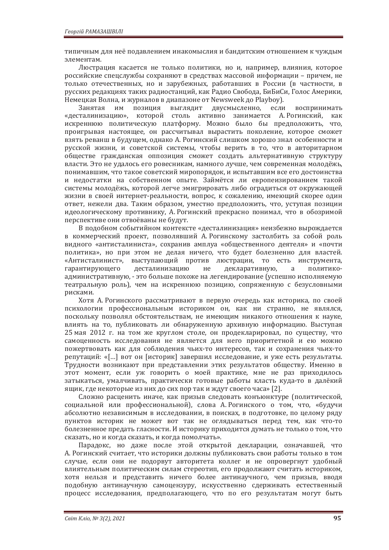типичным для неё подавлением инакомыслия и бандитским отношением к чуждым элементам.

Люстрация касается не только политики, но и, например, влияния, которое российские спецслужбы сохраняют в средствах массовой информации – причем, не только отечественных, но и зарубежных, работавших в России (в частности, в русских редакциях таких радиостанций, как Радио Свобода, БиБиСи, Голос Америки. Немецкая Волна, и журналов в диапазоне от Newsweek до Playboy).

Занятая им позиция выглядит двусмысленно, если воспринимать «десталинизацию», которой столь активно занимается А. Рогинский, как искреннюю политическую платформу. Можно было бы предположить, что, проигрывая настоящее, он рассчитывал вырастить поколение, которое сможет взять реванш в будущем, однако А. Рогинский слишком хорошо знал особенности и русской жизни, и советской системы, чтобы верить в то, что в авторитарном обществе гражданская оппозиция сможет создать альтернативную структуру власти. Это не удалось его ровесникам, намного лучше, чем современная молодёжь, понимавшим, что такое советский миропорядок, и испытавшим все его достоинства и недостатки на собственном опыте. Займётся ли европеизированием такой системы молодёжь, которой легче эмигрировать либо оградиться от окружающей жизни в своей интернет-реальности, вопрос, к сожалению, имеющий скорее один ответ, нежели два. Таким образом, уместно предположить, что, уступая позиции идеологическому противнику. А. Рогинский прекрасно понимал, что в обозримой перспективе они отвоёваны не будут.

В подобном событийном контексте «десталинизация» неизбежно вырождается в коммерческий проект, позволявший А. Рогинскому застолбить за собой роль видного «антисталиниста», сохранив амплуа «общественного деятеля» и «почти политика», но при этом не делая ничего, что будет болезненно для властей. «Антисталинист», выступающий против люстрации, то есть инструмента, гарантирующего десталинизацию не декларативную, а политикоадминистративную, - это больше похоже на легендирование (успешно исполняемую театральную роль), чем на искреннюю позицию, сопряженную с безусловными рисками.

Хотя А. Рогинского рассматривают в первую очередь как историка, по своей психологии профессиональным историком он, как ни странно, не являлся, поскольку позволял обстоятельствам, не имеющим никакого отношения к науке, влиять на то, публиковать ли обнаруженную архивную информацию. Выступая 25 мая 2012 г. на том же круглом столе, он продекларировал, по существу, что самоценность исследования не является для него приоритетной и ею можно пожертвовать как для соблюдения чьих-то интересов, так и сохранения чьих-то репутаций: «[...] вот он [историк] завершил исследование, и уже есть результаты. Трудности возникают при представлении этих результатов обществу. Именно в этот момент, если уж говорить о моей практике, мне не раз приходилось затыкаться, умалчивать, практически готовые работы класть куда-то в далёкий ящик, где некоторые из них до сих пор так и ждут своего часа» [2].

Сложно расценить иначе, как призыв следовать конъюнктуре (политической, социальной или профессиональной), слова А. Рогинского о том, что, «будучи абсолютно независимым в исследовании, в поисках, в подготовке, по целому ряду пунктов историк не может вот так не оглядываться перед тем, как что-то болезненное предать гласности. И историку приходится думать не только о том, что сказать, но и когда сказать, и когда помолчать».

Парадокс, но даже после этой открытой декларации, означавшей, что А. Рогинский считает, что историки должны публиковать свои работы только в том случае, если они не подорвут авторитета коллег и не опровергнут удобный влиятельным политическим силам стереотип, его продолжают считать историком. хотя нельзя и представить ничего более антинаучного, чем призыв, вводя подобную антинаучную самоцензуру, искусственно сдерживать естественный процесс исследования, предполагающего, что по его результатам могут быть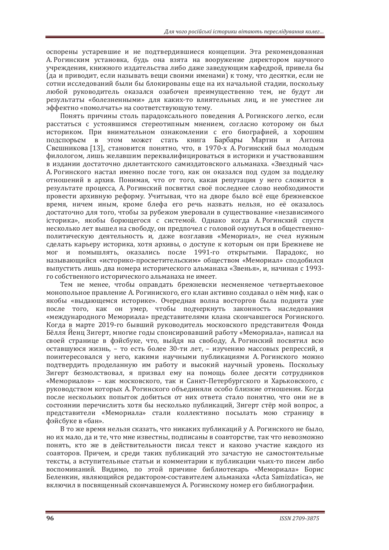оспорены устаревшие и не подтвердившиеся концепции. Эта рекомендованная А. Рогинским установка, будь она взята на вооружение директором научного учреждения, книжного издательства либо даже заведующим кафедрой, привела бы (да и приводит, если называть веши своими именами) к тому, что десятки, если не сотни исследований были бы блокированы еще на их начальной стадии, поскольку любой руководитель оказался озабочен преимущественно тем, не будут ли результаты «болезненными» для каких-то влиятельных лиц, и не уместнее ли эффектно «помолчать» на соответствующую тему.

Понять причины столь парадоксального поведения А. Рогинского легко, если расстаться с устоявшимся стереотипным мнением, согласно которому он был историком. При внимательном ознакомлении с его биографией, а хорошим подспорьем в этом может стать книга Барбары Мартин и Антона Свешникова [13], становится понятно, что, в 1970-х А. Рогинский был молодым филологом, лишь желавшим переквалифицироваться в историки и участвовавшим в издании достаточно дилетантского самиздатовского альманаха. «Звездный час» А. Рогинского настал именно после того, как он оказался под судом за подделку отношений в архив. Понимая, что от того, какая репутация у него сложится в результате процесса, А. Рогинский посвятил своё последнее слово необходимости провести архивную реформу. Учитывая, что на дворе было всё еще брежневское время, ничем иным, кроме блефа его речь назвать нельзя, но её оказалось достаточно для того, чтобы за рубежом уверовали в существование «независимого історика», якобы борющегося с системой. Однако когда А. Рогинский спустя несколько лет вышел на свободу, он предпочел с головой окунуться в общественнополитическую деятельность и, даже возглавив «Мемориал», не счел нужным сделать карьеру историка, хотя архивы, о доступе к которым он при Брежневе не мог и помышлять, оказались после 1991-го открытыми. Парадокс, но называющийся «историко-просветительским» обществом «Мемориал» сподобился выпустить лишь два номера исторического альманаха «Звенья», и, начиная с 1993го собственного исторического альманаха не имеет.

Тем не менее, чтобы оправдать брежневски несменяемое четвертьвековое монопольное правление А. Рогиниского, его клан активно создавал о нём миф, как о якобы «выдающемся историке». Очередная волна восторгов была поднята уже после того, как он умер, чтобы подчеркнуть законность наследования «международного Мемориала» представителями клана скончавшегося Рогинского. Когда в марте 2019-го бывший руководитель московского представителя Фонда Бёлля Йенц Зигерт, многие годы спонсировавший работу «Мемориала», написал на своей странице в фэйсбуке, что, выйдя на свободу, А. Рогинский посвятил всю оставшуюся жизнь, - то есть более 30-ти лет, - изучению массовых репрессий, я поинтересовался у него, какими научными публикациями А. Рогинского можно подтвердить проделанную им работу и высокий научный уровень. Поскольку Зигерт безмолствовал, я призвал ему на помощь более десяти сотрудников «Мемориалов» – как московского, так и Санкт-Петербургского и Харьковского, с руководством которых А. Рогинского объединяли особо близкие отношения. Когда после нескольких попыток добиться от них ответа стало понятно, что они не в состоянии перечислить хотя бы несколько публикаций. Зигерт стёр мой вопрос, а представители «Мемориала» стали коллективно посылать мою страницу в фэйсбуке в «бан».

В то же время нельзя сказать, что никаких публикаций у А. Рогинского не было, но их мало, да и те, что мне известны, подписаны в соавторстве, так что невозможно понять, кто же в действительности писал текст и каково участие каждого из соавторов. Причем, и среди таких публикаций это зачастую не самостоятельные тексты, а вступительные статьи и комментарии к публикации чьих-то писем либо воспоминаний. Видимо, по этой причине библиотекарь «Мемориала» Борис Беленкин, являющийся редактором-составителем альманаха «Acta Samizdatica», не включил в посвященный скончавшемуся А. Рогинскому номер его библиографии.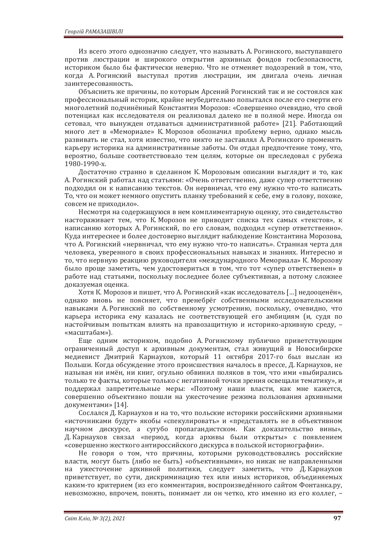Из всего этого однозначно следует, что называть А. Рогинского, выступавшего против люстрации и широкого открытия архивных фондов госбезопасности, историком было бы фактически неверно. Что не отменяет подозрений в том, что, когда А. Рогинский выступал против люстрации, им двигала очень личная заинтересованность.

Объяснить же причины, по которым Арсений Рогинский так и не состоялся как профессиональный историк, крайне неубедительно попытался после его смерти его многолетний подчинённый Константин Морозов: «Совершенно очевидно, что свой потенциал как исследователя он реализовал далеко не в полной мере. Иногда он сетовал, что вынужден отдаваться административной работе» [21]. Работающий много лет в «Мемориале» К. Морозов обозначил проблему верно, однако мысль развивать не стал, хотя известно, что никто не заставлял А. Рогинского променять карьеру историка на административные заботы. Он отдал предпочтение тому, что, вероятно, больше соответствовало тем целям, которые он преследовал с рубежа  $1980 - 1990 - x$ 

Достаточно странно в сделанном К. Морозовым описании выглядит и то, как А. Рогинский работал над статьями: «Очень ответственно, даже супер ответственно подходил он к написанию текстов. Он нервничал, что ему нужно что-то написать. То, что он может немного опустить планку требований к себе, ему в голову, похоже, совсем не приходило».

Несмотря на содержащуюся в нем комплиментарную оценку, это свидетельство настораживает тем, что К. Морозов не приводит списка тех самых «текстов», к написанию которых А. Рогинский, по его словам, подходил «супер ответственно». Куда интереснее и более достоверно выглядит наблюдение Константина Морозова, что А. Рогинский «нервничал, что ему нужно что-то написать». Странная черта для человека, уверенного в своих профессиональных навыках и знаниях. Интересно и то, что нервную реакцию руководителя «международного Мемориала» К. Морозову было проще заметить, чем удостовериться в том, что тот «супер ответственен» в работе над статьями, поскольку последнее более субъективная, а потому сложнее доказуемая оценка.

Хотя К. Морозов и пишет, что А. Рогинский «как исследователь [...] недооценён», однако вновь не поясняет, что пренебрёг собственными исследовательскими навыками А. Рогинский по собственному усмотрению, поскольку, очевидно, что карьера историка ему казалась не соответствующей его амбициям (и, судя по настойчивым попыткам влиять на правозащитную и историко-архивную среду, -«масштабам»).

Еще одним историком, подобно А. Рогинскому публично приветствующим ограниченный доступ к архивным документам, стал живущий в Новосибирске медиевист Дмитрий Карнаухов, который 11 октября 2017-го был выслан из Польши. Когда обсуждение этого происшествия началось в прессе, Д. Карнаухов, не называя ни имён, ни книг, огульно обвинил поляков в том, что ими «выбирались только те факты, которые только с негативной точки зрения освещали тематику», и поддержал запретительные меры: «Поэтому наши власти, как мне кажется, совершенно объективно пошли на ужесточение режима пользования архивными документами» [14].

Сослался Д. Карнаухов и на то, что польские историки российскими архивными «источниками будут» якобы «спекулировать» и «представлять не в объективном научном дискурсе, а сугубо пропагандистском. Как доказательство вины», Д. Карнаухов связал «период, когда архивы были открыты» с появлением «совершенно жесткого антироссийского дискурса в польской историографии».

Не говоря о том, что причины, которыми руководствовались российские власти, могут быть (либо не быть) «объективными», но никак не направленными на ужесточение архивной политики, следует заметить, что Д. Карнаухов приветствует, по сути, дискриминацию тех или иных историков, объединяемых каким-то критерием (из его комментария, воспроизведённого сайтом Фонтанка.ру, невозможно, впрочем, понять, понимает ли он четко, кто именно из его коллег, -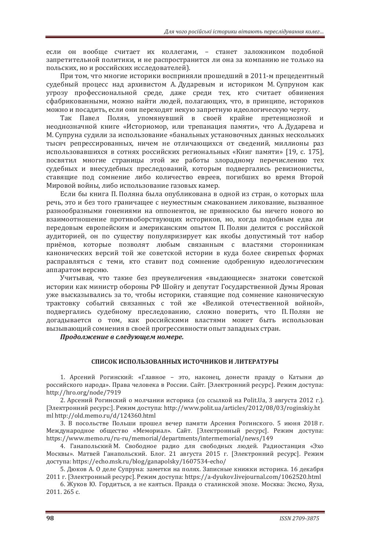если он вообще считает их коллегами, - станет заложником подобной запретительной политики, и не распространится ли она за компанию не только на польских, но и российских исследователей).

При том, что многие историки восприняли прошедший в 2011-м прецедентный судебный процесс над архивистом А. Дударевым и историком М. Супруном как угрозу профессиональной среде, даже среди тех, кто считает обвинения сфабрикованными, можно найти людей, полагающих, что, в принципе, историков можно и посадить, если они переходят некую запретную идеологическую черту.

Так Павел Полян, упомянувший в своей крайне претенциозной и неоднозначной книге «Историомор, или трепанация памяти», что А. Дударева и М. Супруна судили за использование «банальных установочных данных нескольких тысяч репрессированных, ничем не отличающихся от сведений, миллионы раз использовавшихся в сотнях российских региональных «Книг памяти» [19, с. 175], посвятил многие страницы этой же работы злорадному перечислению тех судебных и внесудебных преследований, которым подвергались ревизионисты, ставящие под сомнение либо количество евреев, погибших во время Второй Мировой войны, либо использование газовых камер.

Если бы книга П. Поляна была опубликована в одной из стран, о которых шла речь, это и без того граничащее с неуместным смакованием ликование, вызванное разнообразными гонениями на оппонентов, не привносило бы ничего нового во взаимоотношение противоборствующих историков, но, когда подобным едва ли передовым европейским и американским опытом П. Полян делится с российской аудиторией, он по существу популяризирует как якобы допустимый тот набор приёмов, которые позволят любым связанным с властями сторонникам канонических версий той же советской истории в куда более свирепых формах расправляться с теми, кто ставит под сомнение одобренную идеологическим аппаратом версию.

Учитывая, что такие без преувеличения «выдающиеся» знатоки советской истории как министр обороны РФ Шойгу и депутат Государственной Думы Яровая уже высказывались за то, чтобы историки, ставящие под сомнение каноническую трактовку событий связанных с той же «Великой отечественной войной», подвергались судебному преследованию, сложно поверить, что П. Полян не догадывается о том, как российскими властями может быть использован вызывающий сомнения в своей прогрессивности опыт западных стран.

 $\Box$ Продолжение в следующем номере.

#### СПИСОК ИСПОЛЬЗОВАННЫХ ИСТОЧНИКОВ И ЛИТЕРАТУРЫ

1. Арсений Рогинский: «Главное - это, наконец, донести правду о Катыни до российского народа». Права человека в России. Сайт. [Электронний ресурс]. Режим доступа: http://hro.org/node/7919

2. Арсений Рогинский о молчании историка (со ссылкой на Polit.Ua, 3 августа 2012 г.). [Электронний ресурс:]. Режим доступа: http://www.polit.ua/articles/2012/08/03/roginskiy.ht ml http://old.memo.ru/d/124360.html

3. В посольстве Польши прошел вечер памяти Арсения Рогинского. 5 июня 2018 г. Международное общество «Мемориал». Сайт. [Электронный ресурс]. Режим доступа: https://www.memo.ru/ru-ru/memorial/departments/intermemorial/news/149

4. Ганапольский М. Свободное радио для свободных людей. Радиостанция «Эхо Москвы». Матвей Ганапольский. Блог. 21 августа 2015 г. [Электронний ресурс]. Режим доступа: https://echo.msk.ru/blog/ganapolsky/1607534-echo/

5. Дюков А. О деле Супруна: заметки на полях. Записные книжки историка. 16 декабря 2011 г. [Электронный ресурс]. Режим доступа: https://a-dyukov.livejournal.com/1062520.html

6. Жуков Ю. Гордиться, а не каяться. Правда о сталинской эпохе. Москва: Эксмо, Яуза.  $2011.265c$ .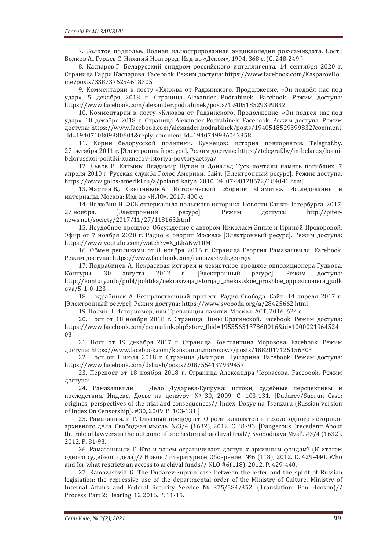7. Золотое подполье. Полная иллюстрированная энциклопедия рок-самиздата. Сост.: Волков А., Гурьев С. Нижний Новгород: Изд-во «Деком», 1994. 368 с. (С. 248-249.)

8. Каспаров Г. Беларусский синдром российского интеллигента. 14 сентября 2020 г. Страница Гарри Каспарова. Facebook. Режим доступа: https://www.facebook.com/KasparovHo me/posts/3387376254618305

9. Комментарии к посту «Клюква от Радзинского. Продолжение. «Он подвёл нас под удар». 5 декабря 2018 г. Страница Alexander Podrabinek. Facebook. Режим доступа: https://www.facebook.com/alexander.podrabinek/posts/1940518529399832

10. Комментарии к посту «Клюква от Радзинского. Продолжение. «Он подвёл нас под удар». 10 декабря 2018 г. Страница Alexander Podrabinek. Facebook. Режим доступа: Режим доступа: https://www.facebook.com/alexander.podrabinek/posts/1940518529399832?comment id=1940710809380604&reply comment id=1940749936043358

11. Корни белорусской политики. Кузнецов: история повторяется. Telegraf.by. 27 октября 2011 г. [Электронный ресурс]. Режим доступа: https://telegraf.by/in-belarus/korni--politiki-kuznecov-istoriya-povtoryaetsya/

12. Львов В. Катынь: Владимир Путин и Дональд Туск почтили память погибших. 7 апреля 2010 г. Русская служба Голос Америки. Сайт. [Электронный ресурс]. Режим доступа: https://www.golos-ameriki.ru/a/poland\_katyn\_2010\_04\_07-90128672/184041.html

13. Мартин Б., Свешников А. Исторический сборник «Память». Исследования и материалы. Москва: Изд-во «НЛО», 2017. 400 с.

14. Нелюбин Н. ФСБ отзеркалила польского историка. Новости Санкт-Петербурга. 2017. 27 ноября. [Электронний ресурс]. Режим доступа: http://piternews.net/society/2017/11/27/118163.html

15. Неудобное прошлое. Обсуждение с автором Николаем Эппле и Ириной Прохоровой. Эфир от 7 ноября 2020 г. Радио «Говорит Москва» [Электронный ресурс]. Режим доступа: https://www.youtube.com/watch?v=X\_iLkANw10M

16. Обмен репликами от 8 ноября 2016 г. Страница Георгия Рамазашвили. Facebook. Режим доступа: https://www.facebook.com/ramazashvili.georgiy

17. Подрабинек А. Некрасивая история и чекистское прошлое оппозиционера Гудкова. Контуры. 30 августа 2012 г. [Электронный ресурс]. Режим доступа: http://kontury.info/publ/politika/nekrasivaja\_istorija\_i\_chekistskoe\_proshloe\_oppozicionera\_gudk ova/5-1-0-123

18. Подрабинек А. Безнравственный протест. Радио Свобода. Сайт. 14 апреля 2017 г. [Электронный ресурс]. Режим доступа: https://www.svoboda.org/a/28425662.html

19. Полян П. Историомор, или Трепанация памяти. Москва: АСТ, 2016. 624 с.

20. Пост от 18 ноября 2018 г. Страница Нины Брагинской. Facebook. Режим доступа: https://www.facebook.com/permalink.php?story\_fbid=1955565137860016&id=1000021964524 03

21. Пост от 19 декабря 2017 г. Страница Константина Морозова. Facebook. Режим  $\mu$ ος τνπa: https://www.facebook.com/konstantin.morozov.7/posts/1882017125156303

22. Пост от 1 июля 2018 г. Страница Дмитрия Шушарина, Facebook, Режим лоступа: https://www.facebook.com/dshush/posts/2087554137939457

23. Перепост от 18 ноября 2018 г. Страница Александра Черкасова. Facebook. Режим доступа:

24. Рамазашвили Г. Дело Дударева-Супруна: истоки, судебные перспективы и последствия. Индекс. Досье на цензуру. № 30, 2009. С. 103-131. [Dudarev/Suprun Case: origines, perspectives of the trial and conséquences// Index. Dosye na Tsenzuru (Russian version of Index On Censorship). #30, 2009. P. 103-131.]

25. Рамазашвили Г. Опасный прецедент. О роли адвокатов в исходе одного историкоархивного дела. Свободная мысль. №3/4 (1632), 2012. С. 81-93. [Dangerous Precedent: About the role of lawyers in the outcome of one historical-archival trial// Svobodnaya Mysl'.  $#3/4$  (1632), 2012. Ρ. 81-93.

26. Рамазашвили Г. Кто и зачем ограничивает доступ к архивным фондам? (К итогам одного судебного дела)// Новое Литературное Обозрение. №6 (118), 2012. С. 429-440. Who and for what restricts an access to archival funds// NLO #6(118), 2012. P. 429-440.

27. Ramazashvili G. The Dudarev-Suprun case between the letter and the spirit of Russian legislation: the repressive use of the departmental order of the Ministry of Culture, Ministry of Internal Affairs and Federal Security Service Nº 375/584/352. (Translation: Ben Hooson)// Process. Part 2: Hearing. 12.2016. P. 11-15.